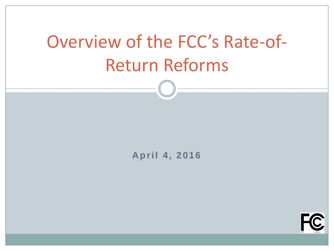# Overview of the FCC's Rate-of-Return Reforms

#### **April 4, 2016**

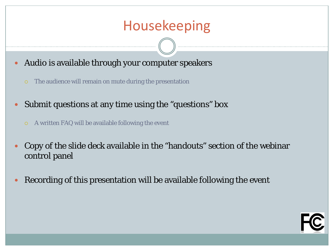### Housekeeping

- Audio is available through your computer speakers
	- The audience will remain on mute during the presentation
- Submit questions at any time using the "questions" box
	- A written FAQ will be available following the event
- Copy of the slide deck available in the "handouts" section of the webinar control panel
- Recording of this presentation will be available following the event

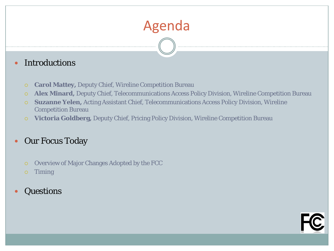## Agenda

#### • Introductions

- **Carol Mattey,** Deputy Chief, Wireline Competition Bureau
- **Alex Minard,** Deputy Chief, Telecommunications Access Policy Division, Wireline Competition Bureau
- **Suzanne Yelen,** Acting Assistant Chief, Telecommunications Access Policy Division, Wireline Competition Bureau
- **Victoria Goldberg,** Deputy Chief, Pricing Policy Division, Wireline Competition Bureau

#### • Our Focus Today

- Overview of Major Changes Adopted by the FCC
- Timing
- Questions

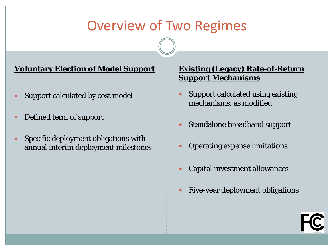### Overview of Two Regimes

#### **Voluntary Election of Model Support**

- Support calculated by cost model
- Defined term of support
- Specific deployment obligations with annual interim deployment milestones

- Support calculated using existing mechanisms, as modified
- Standalone broadband support
- Operating expense limitations
- Capital investment allowances
- Five-year deployment obligations

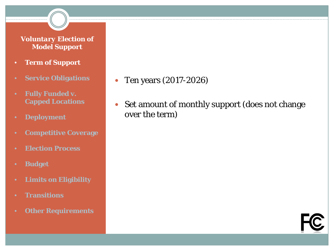- **Term of Support**
- **Service Obligations**
- **Fully Funded v. Capped Locations**
- **Deployment**
- **Competitive Coverage**
- **Election Process**
- **Budget**
- **Limits on Eligibility**
- **Transitions**
- **Other Requirements**
- Ten years (2017-2026)
- Set amount of monthly support (does not change over the term)

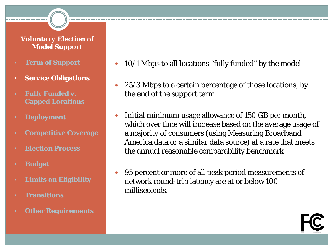- **Term of Support**
- **Service Obligations**
- **Fully Funded v. Capped Locations**
- **Deployment**
- **Competitive Coverage**
- **Election Process**
- **Budget**
- **Limits on Eligibility**
- **Transitions**
- **Other Requirements**
- 10/1 Mbps to all locations "fully funded" by the model
- 25/3 Mbps to a certain percentage of those locations, by the end of the support term
- Initial minimum usage allowance of 150 GB per month, which over time will increase based on the average usage of a majority of consumers (using Measuring Broadband America data or a similar data source) at a rate that meets the annual reasonable comparability benchmark
- 95 percent or more of all peak period measurements of network round-trip latency are at or below 100 milliseconds.

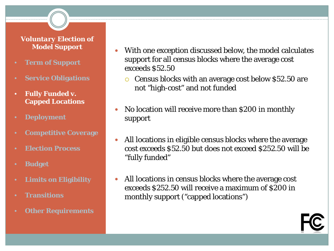- **Term of Support**
- **Service Obligations**
- **Fully Funded v. Capped Locations**
- **Deployment**
- **Competitive Coverage**
- **Election Process**
- **Budget**
- **Limits on Eligibility**
- **Transitions**
- **Other Requirements**
- With one exception discussed below, the model calculates support for all census blocks where the average cost exceeds \$52.50
	- Census blocks with an average cost below \$52.50 are not "high-cost" and not funded
- No location will receive more than \$200 in monthly support
- All locations in eligible census blocks where the average cost exceeds \$52.50 but does not exceed \$252.50 will be "fully funded"
- All locations in census blocks where the average cost exceeds \$252.50 will receive a maximum of \$200 in monthly support ("capped locations")

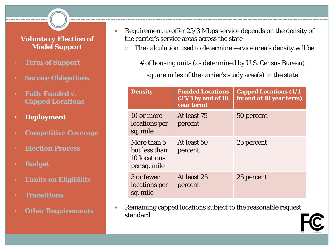- **Term of Support**
- **Service Obligations**
- **Fully Funded v. Capped Locations**
- **Deployment**
- **Competitive Coverage**
- **Election Process**
- **Budget**
- **Limits on Eligibility**
- **Transitions**
- **Other Requirements**
- Requirement to offer 25/3 Mbps service depends on the density of the carrier's service areas across the state
	- o The calculation used to determine service area's density will be:

# of housing units (as determined by U.S. Census Bureau)

square miles of the carrier's study area(s) in the state

| <b>Density</b>                                               | <b>Funded Locations</b><br>$(25/3)$ by end of 10<br>year term) | <b>Capped Locations (4/1)</b><br>by end of 10 year term) |
|--------------------------------------------------------------|----------------------------------------------------------------|----------------------------------------------------------|
| 10 or more<br>locations per<br>sq. mile                      | At least 75<br>percent                                         | 50 percent                                               |
| More than 5<br>but less than<br>10 locations<br>per sq. mile | At least 50<br>percent                                         | 25 percent                                               |
| 5 or fewer<br>locations per<br>sq. mile                      | At least 25<br>percent                                         | 25 percent                                               |

 Remaining capped locations subject to the reasonable request standard

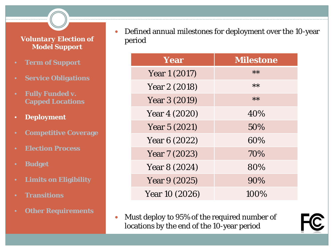- **Term of Support**
- **Service Obligations**
- **Fully Funded v. Capped Locations**
- **Deployment**
- **Competitive Coverage**
- **Election Process**
- **Budget**
- **Limits on Eligibility**
- **Transitions**
- **Other Requirements**

 Defined annual milestones for deployment over the 10-year period

| Year           | <b>Milestone</b> |  |
|----------------|------------------|--|
| Year 1 (2017)  | $**$             |  |
| Year 2 (2018)  | $**$             |  |
| Year 3 (2019)  | $**$             |  |
| Year 4 (2020)  | 40%              |  |
| Year 5 (2021)  | 50%              |  |
| Year 6 (2022)  | 60%              |  |
| Year 7 (2023)  | 70%              |  |
| Year 8 (2024)  | 80%              |  |
| Year 9 (2025)  | 90%              |  |
| Year 10 (2026) | 100%             |  |

 Must deploy to 95% of the required number of locations by the end of the 10-year period

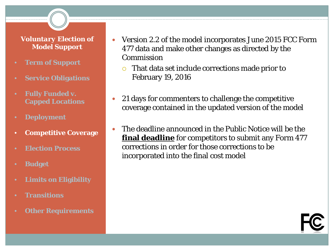- **Term of Support**
- **Service Obligations**
- **Fully Funded v. Capped Locations**
- **Deployment**
- **Competitive Coverage**
- **Election Process**
- **Budget**
- **Limits on Eligibility**
- **Transitions**
- **Other Requirements**
- Version 2.2 of the model incorporates June 2015 FCC Form 477 data and make other changes as directed by the Commission
	- That data set include corrections made prior to February 19, 2016
- 21 days for commenters to challenge the competitive coverage contained in the updated version of the model
- The deadline announced in the Public Notice will be the **final deadline** for competitors to submit any Form 477 corrections in order for those corrections to be incorporated into the final cost model

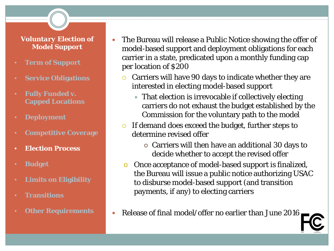- **Term of Support**
- **Service Obligations**
- **Fully Funded v. Capped Locations**
- **Deployment**
- **Competitive Coverage**
- **Election Process**
- **Budget**
- **Limits on Eligibility**
- **Transitions**
- **Other Requirements**
- The Bureau will release a Public Notice showing the offer of model-based support and deployment obligations for each carrier in a state, predicated upon a monthly funding cap per location of \$200
	- $\circ$  Carriers will have 90 days to indicate whether they are interested in electing model-based support
		- $\times$  That election is irrevocable if collectively electing carriers do not exhaust the budget established by the Commission for the voluntary path to the model
	- $\circ$  If demand does exceed the budget, further steps to determine revised offer
		- Carriers will then have an additional 30 days to decide whether to accept the revised offer
	- o Once acceptance of model-based support is finalized, the Bureau will issue a public notice authorizing USAC to disburse model-based support (and transition payments, if any) to electing carriers
- Release of final model/offer no earlier than June 2016

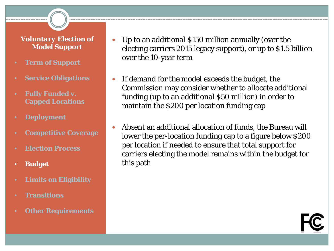- **Term of Support**
- **Service Obligations**
- **Fully Funded v. Capped Locations**
- **Deployment**
- **Competitive Coverage**
- **Election Process**
- **Budget**
- **Limits on Eligibility**
- **Transitions**
- **Other Requirements**
- Up to an additional \$150 million annually (over the electing carriers 2015 legacy support), or up to \$1.5 billion over the 10-year term
- If demand for the model exceeds the budget, the Commission may consider whether to allocate additional funding (up to an additional \$50 million) in order to maintain the \$200 per location funding cap
- Absent an additional allocation of funds, the Bureau will lower the per-location funding cap to a figure below \$200 per location if needed to ensure that total support for carriers electing the model remains within the budget for this path

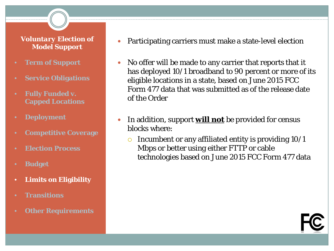- **Term of Support**
- **Service Obligations**
- **Fully Funded v. Capped Locations**
- **Deployment**
- **Competitive Coverage**
- **Election Process**
- **Budget**
- **Limits on Eligibility**
- **Transitions**
- **Other Requirements**
- Participating carriers must make a state-level election
- No offer will be made to any carrier that reports that it has deployed 10/1 broadband to 90 percent or more of its eligible locations in a state, based on June 2015 FCC Form 477 data that was submitted as of the release date of the Order
- In addition, support **will not** be provided for census blocks where:
	- Incumbent or any affiliated entity is providing 10/1 Mbps or better using either FTTP or cable technologies based on June 2015 FCC Form 477 data

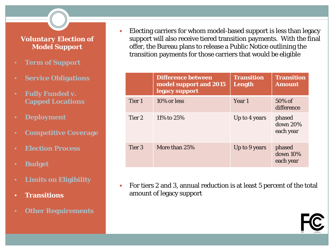- **Term of Support**
- **Service Obligations**
- **Fully Funded v. Capped Locations**
- **Deployment**
- **Competitive Coverage**
- **Election Process**
- **Budget**
- **Limits on Eligibility**
- **Transitions**
- **Other Requirements**

 Electing carriers for whom model-based support is less than legacy support will also receive tiered transition payments. With the final offer, the Bureau plans to release a Public Notice outlining the transition payments for those carriers that would be eligible

|        | <b>Difference between</b><br>model support and 2015<br>legacy support | <b>Transition</b><br>Length | <b>Transition</b><br><b>Amount</b> |
|--------|-----------------------------------------------------------------------|-----------------------------|------------------------------------|
| Tier 1 | 10% or less                                                           | Year 1                      | $50\%$ of<br>difference            |
| Tier 2 | 11\% to 25\%                                                          | Up to 4 years               | phased<br>down 20%<br>each year    |
| Tier 3 | More than 25%                                                         | Up to 9 years               | phased<br>down 10%<br>each year    |

 For tiers 2 and 3, annual reduction is at least 5 percent of the total amount of legacy support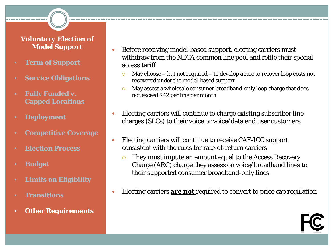- **Term of Support**
- **Service Obligations**
- **Fully Funded v. Capped Locations**
- **Deployment**
- **Competitive Coverage**
- **Election Process**
- **Budget**
- **Limits on Eligibility**
- **Transitions**
- **Other Requirements**
- Before receiving model-based support, electing carriers must withdraw from the NECA common line pool and refile their special access tariff
	- $\sim$  May choose but not required to develop a rate to recover loop costs not recovered under the model-based support
	- May assess a wholesale consumer broadband-only loop charge that does not exceed \$42 per line per month
- Electing carriers will continue to charge existing subscriber line charges (SLCs) to their voice or voice/data end user customers
- Electing carriers will continue to receive CAF-ICC support consistent with the rules for rate-of-return carriers
	- **They must impute an amount equal to the Access Recovery** Charge (ARC) charge they assess on voice/broadband lines to their supported consumer broadband-only lines
- Electing carriers **are not** required to convert to price cap regulation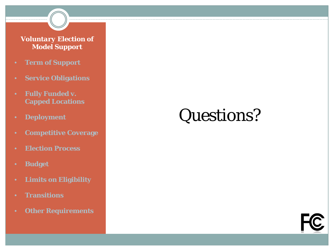- **Term of Support**
- **Service Obligations**
- **Fully Funded v. Capped Locations**
- **Deployment**
- **Competitive Coverage**
- **Election Process**
- **Budget**
- **Limits on Eligibility**
- **Transitions**
- **Other Requirements**

# Questions?

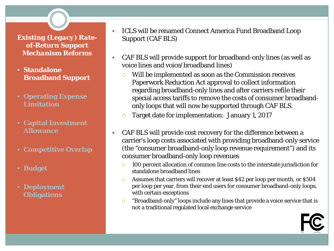- **Standalone Broadband Support**
- **Operating Expense Limitation**
- **Capital Investment Allowance**
- **Competitive Overlap**
- **Budget**
- **Deployment Obligations**

 ICLS will be renamed Connect America Fund Broadband Loop Support (CAF BLS)

- CAF BLS will provide support for broadband-only lines (as well as voice lines and voice/broadband lines)
	- Will be implemented as soon as the Commission receives Paperwork Reduction Act approval to collect information regarding broadband-only lines and after carriers refile their special access tariffs to remove the costs of consumer broadbandonly loops that will now be supported through CAF BLS.
	- **C** Target date for implementation: January 1, 2017
- CAF BLS will provide cost recovery for the difference between a carrier's loop costs associated with providing broadband-only service (the "consumer broadband-only loop revenue requirement") and its consumer broadband-only loop revenues
	- <sup>o</sup> 100 percent allocation of common line costs to the interstate jurisdiction for standalone broadband lines
	- Assumes that carriers will recover at least \$42 per loop per month, or \$504 per loop per year, from their end users for consumer broadband-only loops, with certain exceptions
	- "Broadband-only" loops include any lines that provide a voice service that is not a traditional regulated local exchange service

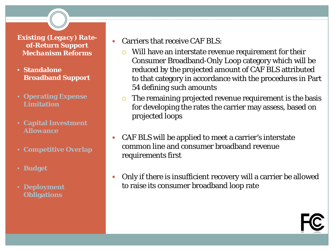- **Standalone Broadband Support**
- **Operating Expense Limitation**
- **Capital Investment Allowance**
- **Competitive Overlap**
- **Budget**
- **Deployment Obligations**
- Carriers that receive CAF BLS:
	- $\circ$  Will have an interstate revenue requirement for their Consumer Broadband-Only Loop category which will be reduced by the projected amount of CAF BLS attributed to that category in accordance with the procedures in Part 54 defining such amounts
	- $\circ$  The remaining projected revenue requirement is the basis for developing the rates the carrier may assess, based on projected loops
- CAF BLS will be applied to meet a carrier's interstate common line and consumer broadband revenue requirements first
- Only if there is insufficient recovery will a carrier be allowed to raise its consumer broadband loop rate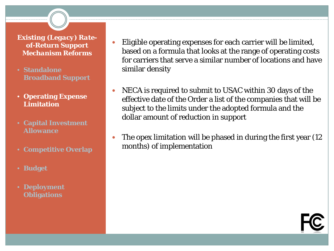- **Standalone Broadband Support**
- **Operating Expense Limitation**
- **Capital Investment Allowance**
- **Competitive Overlap**
- **Budget**
- **Deployment Obligations**
- Eligible operating expenses for each carrier will be limited, based on a formula that looks at the range of operating costs for carriers that serve a similar number of locations and have similar density
- NECA is required to submit to USAC within 30 days of the effective date of the Order a list of the companies that will be subject to the limits under the adopted formula and the dollar amount of reduction in support
- The opex limitation will be phased in during the first year (12) months) of implementation

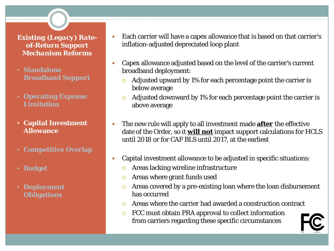- **Standalone Broadband Support**
- **Operating Expense Limitation**
- **Capital Investment Allowance**
- **Competitive Overlap**
- **Budget**
- **Deployment Obligations**
- Each carrier will have a capex allowance that is based on that carrier's inflation-adjusted depreciated loop plant
- Capex allowance adjusted based on the level of the carrier's current broadband deployment:
	- $\circ$  Adjusted upward by 1% for each percentage point the carrier is below average
	- $\circ$  Adjusted downward by 1% for each percentage point the carrier is above average
- The new rule will apply to all investment made **after** the effective date of the Order, so it **will not** impact support calculations for HCLS until 2018 or for CAF BLS until 2017, at the earliest
- Capital investment allowance to be adjusted in specific situations:
	- **O** Areas lacking wireline infrastructure
	- Areas where grant funds used
	- Areas covered by a pre-existing loan where the loan disbursement has occurred
	- Areas where the carrier had awarded a construction contract
	- FCC must obtain PRA approval to collect information from carriers regarding these specific circumstances

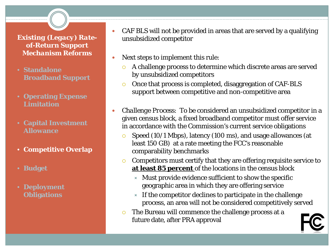- **Standalone Broadband Support**
- **Operating Expense Limitation**
- **Capital Investment Allowance**
- **Competitive Overlap**
- **Budget**
- **Deployment Obligations**
- CAF BLS will not be provided in areas that are served by a qualifying unsubsidized competitor
- Next steps to implement this rule:
	- A challenge process to determine which discrete areas are served by unsubsidized competitors
	- Once that process is completed, disaggregation of CAF-BLS support between competitive and non-competitive area
- *Challenge Process*:To be considered an unsubsidized competitor in a given census block, a fixed broadband competitor must offer service in accordance with the Commission's current service obligations
	- Speed (10/1 Mbps), latency (100 ms), and usage allowances (at least 150 GB) at a rate meeting the FCC's reasonable comparability benchmarks
	- $\circ$  Competitors must certify that they are offering requisite service to **at least 85 percent** of the locations in the census block
		- $\times$  Must provide evidence sufficient to show the specific geographic area in which they are offering service
		- $\times$  If the competitor declines to participate in the challenge process, an area will not be considered competitively served
	- The Bureau will commence the challenge process at a future date, after PRA approval

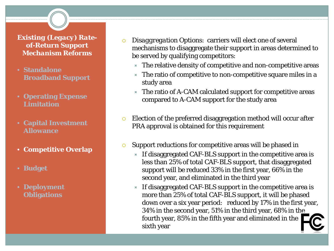- **Standalone Broadband Support**
- **Operating Expense Limitation**
- **Capital Investment Allowance**
- **Competitive Overlap**
- **Budget**
- **Deployment Obligations**
- *Disaggregation Options*: carriers will elect one of several mechanisms to disaggregate their support in areas determined to be served by qualifying competitors:
	- $\times$  The relative density of competitive and non-competitive areas
	- $\times$  The ratio of competitive to non-competitive square miles in a study area
	- $\times$  The ratio of A-CAM calculated support for competitive areas compared to A-CAM support for the study area
- Election of the preferred disaggregation method will occur after PRA approval is obtained for this requirement
- **Support reductions for competitive areas will be phased in** 
	- $\times$  If disaggregated CAF-BLS support in the competitive area is less than 25% of total CAF-BLS support, that disaggregated support will be reduced 33% in the first year, 66% in the second year, and eliminated in the third year
	- $\times$  If disaggregated CAF-BLS support in the competitive area is more than 25% of total CAF-BLS support, it will be phased down over a six year period: reduced by 17% in the first year, 34% in the second year, 51% in the third year, 68% in the fourth year, 85% in the fifth year and eliminated in the sixth year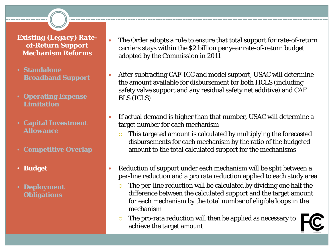- **Standalone Broadband Support**
- **Operating Expense Limitation**
- **Capital Investment Allowance**
- **Competitive Overlap**
- **Budget**
- **Deployment Obligations**
- The Order adopts a rule to ensure that total support for rate-of-return carriers stays within the \$2 billion per year rate-of-return budget adopted by the Commission in 2011
- After subtracting CAF-ICC and model support, USAC will determine the amount available for disbursement for both HCLS (including safety valve support and any residual safety net additive) and CAF BLS (ICLS)
- If actual demand is higher than that number, USAC will determine a target number for each mechanism
	- This targeted amount is calculated by multiplying the forecasted disbursements for each mechanism by the ratio of the budgeted amount to the total calculated support for the mechanisms
- Reduction of support under each mechanism will be split between a per-line reduction and a pro rata reduction applied to each study area
	- The per-line reduction will be calculated by dividing one half the difference between the calculated support and the target amount for each mechanism by the total number of eligible loops in the mechanism
	- The pro-rata reduction will then be applied as necessary to achieve the target amount

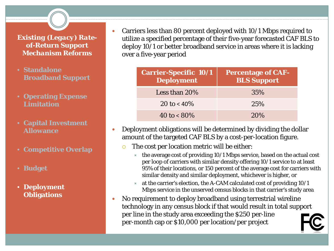- **Standalone Broadband Support**
- **Operating Expense Limitation**
- **Capital Investment Allowance**
- **Competitive Overlap**
- **Budget**
- **Deployment Obligations**

 Carriers less than 80 percent deployed with 10/1 Mbps required to utilize a specified percentage of their five-year forecasted CAF BLS to deploy 10/1 or better broadband service in areas where it is lacking over a five-year period

| <b>Carrier-Specific 10/1</b><br><b>Deployment</b> | <b>Percentage of CAF-</b><br><b>BLS Support</b> |
|---------------------------------------------------|-------------------------------------------------|
| Less than $20\%$                                  | 35%                                             |
| 20 to < $40\%$                                    | 25%                                             |
| 40 to $< 80\%$                                    | 20%                                             |

- Deployment obligations will be determined by dividing the dollar amount of the targeted CAF BLS by a cost-per-location figure.
	- $\circ$  The cost per location metric will be either:
		- $\star$  the average cost of providing 10/1 Mbps service, based on the actual cost per loop of carriers with similar density offering 10/1 service to at least 95% of their locations, or 150 percent of the average cost for carriers with similar density and similar deployment, whichever is higher, or
		- at the carrier's election, the A-CAM calculated cost of providing 10/1 Mbps service in the unserved census blocks in that carrier's study area
- No requirement to deploy broadband using terrestrial wireline technology in any census block if that would result in total support per line in the study area exceeding the \$250 per-line per-month cap or \$10,000 per location/per project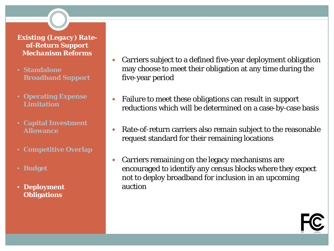- **Standalone Broadband Support**
- **Operating Expense Limitation**
- **Capital Investment Allowance**
- **Competitive Overlap**
- **Budget**
- **Deployment Obligations**
- Carriers subject to a defined five-year deployment obligation may choose to meet their obligation at any time during the five-year period
- Failure to meet these obligations can result in support reductions which will be determined on a case-by-case basis
- Rate-of-return carriers also remain subject to the reasonable request standard for their remaining locations
- Carriers remaining on the legacy mechanisms are encouraged to identify any census blocks where they expect not to deploy broadband for inclusion in an upcoming auction

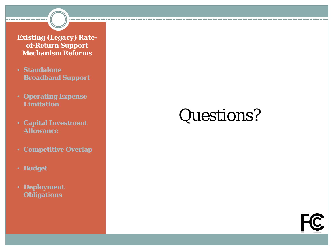- **Standalone Broadband Support**
- **Operating Expense Limitation**
- **Capital Investment Allowance**
- **Competitive Overlap**
- **Budget**
- **Deployment Obligations**

# Questions?

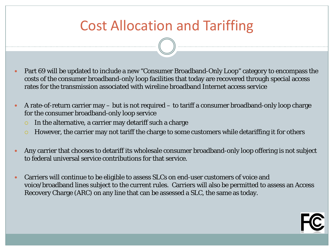### Cost Allocation and Tariffing

- Part 69 will be updated to include a new "Consumer Broadband-Only Loop" category to encompass the costs of the consumer broadband-only loop facilities that today are recovered through special access rates for the transmission associated with wireline broadband Internet access service
- A rate-of-return carrier may but is not required to tariff a consumer broadband-only loop charge for the consumer broadband-only loop service
	- $\circ$  In the alternative, a carrier may detariff such a charge
	- $\circ$  However, the carrier may not tariff the charge to some customers while detariffing it for others
- Any carrier that chooses to detariff its wholesale consumer broadband-only loop offering is not subject to federal universal service contributions for that service.
- Carriers will continue to be eligible to assess SLCs on end-user customers of voice and voice/broadband lines subject to the current rules. Carriers will also be permitted to assess an Access Recovery Charge (ARC) on any line that can be assessed a SLC, the same as today.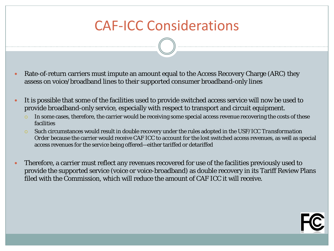### CAF-ICC Considerations

- Rate-of-return carriers must impute an amount equal to the Access Recovery Charge (ARC) they assess on voice/broadband lines to their supported consumer broadband-only lines
- It is possible that some of the facilities used to provide switched access service will now be used to provide broadband-only service, especially with respect to transport and circuit equipment.
	- $\circ$  In some cases, therefore, the carrier would be receiving some special access revenue recovering the costs of these facilities
	- Such circumstances would result in double recovery under the rules adopted in the *USF/ICC Transformation Order* because the carrier would receive CAF ICC to account for the lost switched access revenues, as well as special access revenues for the service being offered—either tariffed or detariffed
- Therefore, a carrier must reflect any revenues recovered for use of the facilities previously used to provide the supported service (voice or voice-broadband) as double recovery in its Tariff Review Plans filed with the Commission, which will reduce the amount of CAF ICC it will receive.

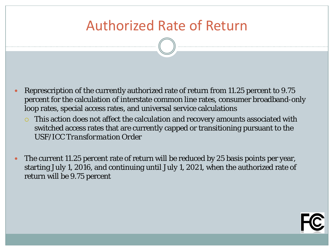### Authorized Rate of Return

- Represcription of the currently authorized rate of return from 11.25 percent to 9.75 percent for the calculation of interstate common line rates, consumer broadband-only loop rates, special access rates, and universal service calculations
	- This action does not affect the calculation and recovery amounts associated with switched access rates that are currently capped or transitioning pursuant to the *USF/ICC Transformation Order*
- The current 11.25 percent rate of return will be reduced by 25 basis points per year, starting July 1, 2016, and continuing until July 1, 2021, when the authorized rate of return will be 9.75 percent

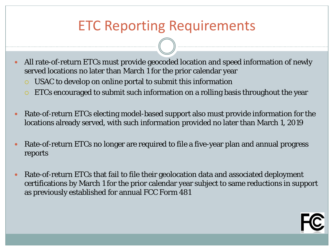### ETC Reporting Requirements

- All rate-of-return ETCs must provide geocoded location and speed information of newly served locations no later than March 1 for the prior calendar year
	- USAC to develop on online portal to submit this information
	- ETCs encouraged to submit such information on a rolling basis throughout the year
- Rate-of-return ETCs electing model-based support also must provide information for the locations already served, with such information provided no later than March 1, 2019
- Rate-of-return ETCs no longer are required to file a five-year plan and annual progress reports
- Rate-of-return ETCs that fail to file their geolocation data and associated deployment certifications by March 1 for the prior calendar year subject to same reductions in support as previously established for annual FCC Form 481

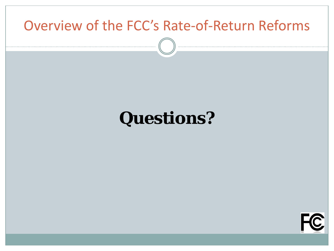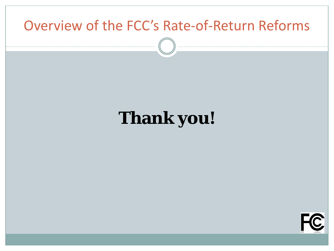